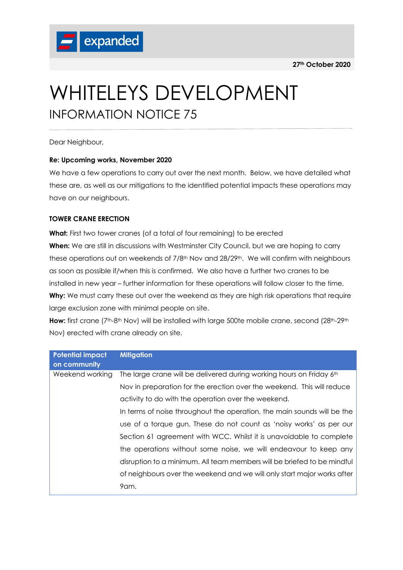

# WHITELEYS DEVELOPMENT INFORMATION NOTICE 75

Dear Neighbour,

# **Re: Upcoming works, November 2020**

We have a few operations to carry out over the next month. Below, we have detailed what these are, as well as our mitigations to the identified potential impacts these operations may have on our neighbours.

# **TOWER CRANE ERECTION**

**What:** First two tower cranes (of a total of four remaining) to be erected **When:** We are still in discussions with Westminster City Council, but we are hoping to carry these operations out on weekends of 7/8<sup>th</sup> Nov and 28/29<sup>th</sup>. We will confirm with neighbours as soon as possible if/when this is confirmed. We also have a further two cranes to be installed in new year – further information for these operations will follow closer to the time. Why: We must carry these out over the weekend as they are high risk operations that require large exclusion zone with minimal people on site.

How: first crane (7<sup>th</sup>-8<sup>th</sup> Nov) will be installed with large 500te mobile crane, second (28<sup>th</sup>-29<sup>th</sup>) Nov) erected with crane already on site.

| <b>Potential impact</b><br>on community | <b>Mitigation</b>                                                       |
|-----------------------------------------|-------------------------------------------------------------------------|
| Weekend working                         | The large crane will be delivered during working hours on Friday 6th    |
|                                         | Nov in preparation for the erection over the weekend. This will reduce  |
|                                         | activity to do with the operation over the weekend.                     |
|                                         | In terms of noise throughout the operation, the main sounds will be the |
|                                         | use of a torque gun. These do not count as 'noisy works' as per our     |
|                                         | Section 61 agreement with WCC. Whilst it is unavoidable to complete     |
|                                         | the operations without some noise, we will endeavour to keep any        |
|                                         | disruption to a minimum. All team members will be briefed to be mindful |
|                                         | of neighbours over the weekend and we will only start major works after |
|                                         | 9am.                                                                    |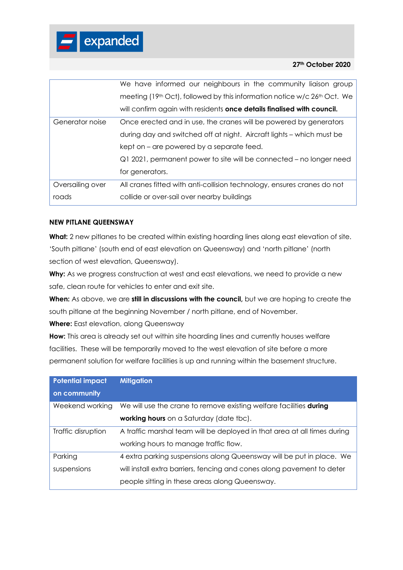## **27th October 2020**

|                  | We have informed our neighbours in the community liaison group                         |
|------------------|----------------------------------------------------------------------------------------|
|                  | meeting (19 <sup>th</sup> Oct), followed by this information notice w/c $26th$ Oct. We |
|                  | will confirm again with residents once details finalised with council.                 |
| Generator noise  | Once erected and in use, the cranes will be powered by generators                      |
|                  | during day and switched off at night. Aircraft lights – which must be                  |
|                  | kept on – are powered by a separate feed.                                              |
|                  | Q1 2021, permanent power to site will be connected – no longer need                    |
|                  | for generators.                                                                        |
| Oversailing over | All cranes fitted with anti-collision technology, ensures cranes do not                |
| roads            | collide or over-sail over nearby buildings                                             |

# **NEW PITLANE QUEENSWAY**

What: 2 new pitlanes to be created within existing hoarding lines along east elevation of site. 'South pitlane' (south end of east elevation on Queensway) and 'north pitlane' (north section of west elevation, Queensway).

Why: As we progress construction at west and east elevations, we need to provide a new safe, clean route for vehicles to enter and exit site.

**When:** As above, we are **still in discussions with the council,** but we are hoping to create the south pitlane at the beginning November / north pitlane, end of November.

**Where:** East elevation, along Queensway

**How:** This area is already set out within site hoarding lines and currently houses welfare facilities. These will be temporarily moved to the west elevation of site before a more permanent solution for welfare facilities is up and running within the basement structure.

| <b>Potential impact</b> | <b>Mitigation</b>                                                         |
|-------------------------|---------------------------------------------------------------------------|
| on community            |                                                                           |
| Weekend working         | We will use the crane to remove existing welfare facilities <b>during</b> |
|                         | working hours on a Saturday (date tbc).                                   |
| Traffic disruption      | A traffic marshal team will be deployed in that area at all times during  |
|                         | working hours to manage traffic flow.                                     |
| Parking                 | 4 extra parking suspensions along Queensway will be put in place. We      |
| suspensions             | will install extra barriers, fencing and cones along pavement to deter    |
|                         | people sitting in these areas along Queensway.                            |